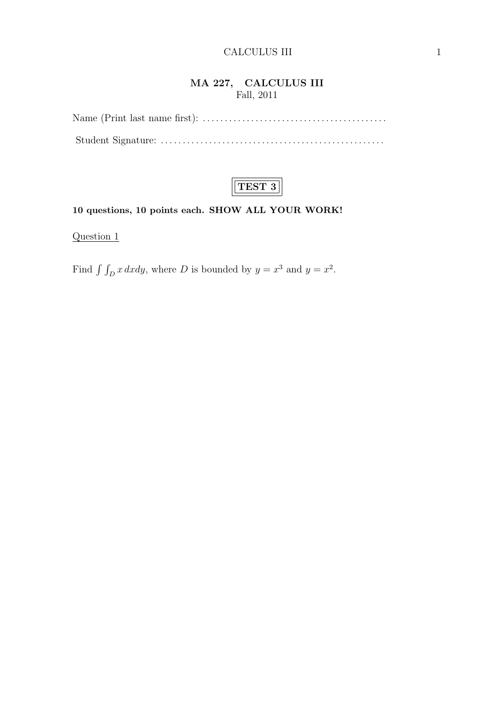## MA 227, CALCULUS III Fall, 2011



## 10 questions, 10 points each. SHOW ALL YOUR WORK!

Question 1

Find  $\int \int_D x \, dxdy$ , where D is bounded by  $y = x^3$  and  $y = x^2$ .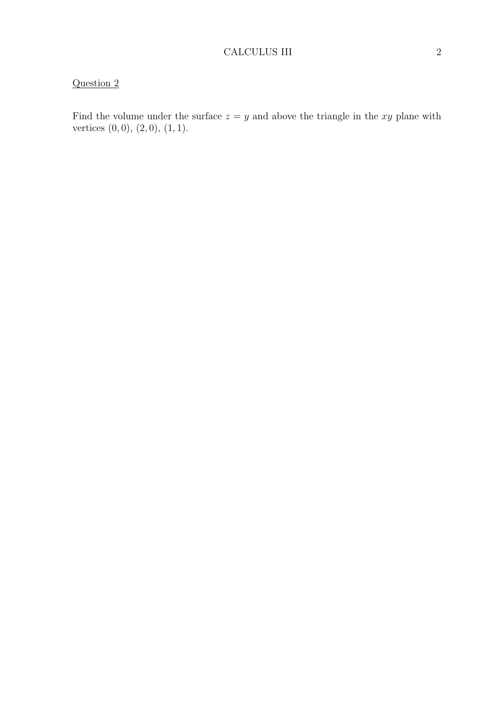Find the volume under the surface  $z = y$  and above the triangle in the xy plane with vertices  $(0, 0), (2, 0), (1, 1).$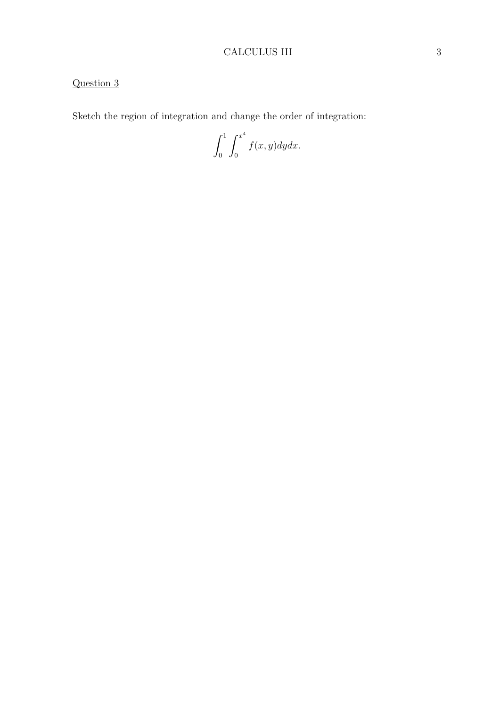## CALCULUS III 3

# Question 3

Sketch the region of integration and change the order of integration:

 $\int_0^1$ 0  $\int x^4$  $\mathbf{0}$  $f(x, y)dydx$ .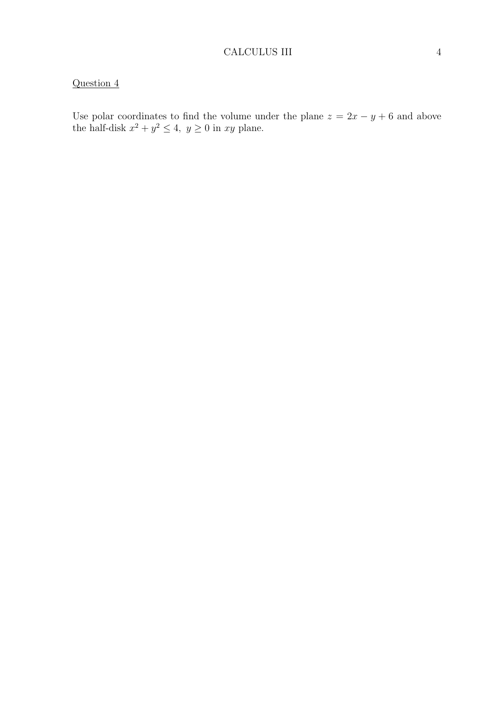Use polar coordinates to find the volume under the plane  $z = 2x - y + 6$  and above the half-disk  $x^2 + y^2 \le 4$ ,  $y \ge 0$  in xy plane.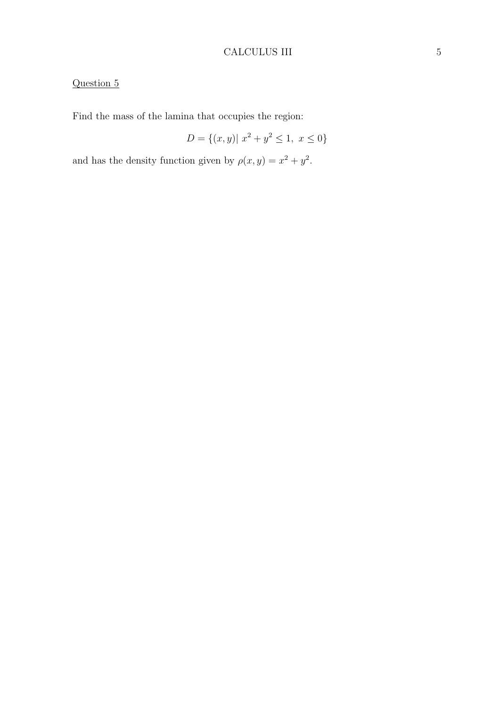## CALCULUS III 5

# Question 5

Find the mass of the lamina that occupies the region:

$$
D = \{(x, y) | x^2 + y^2 \le 1, x \le 0\}
$$

and has the density function given by  $\rho(x, y) = x^2 + y^2$ .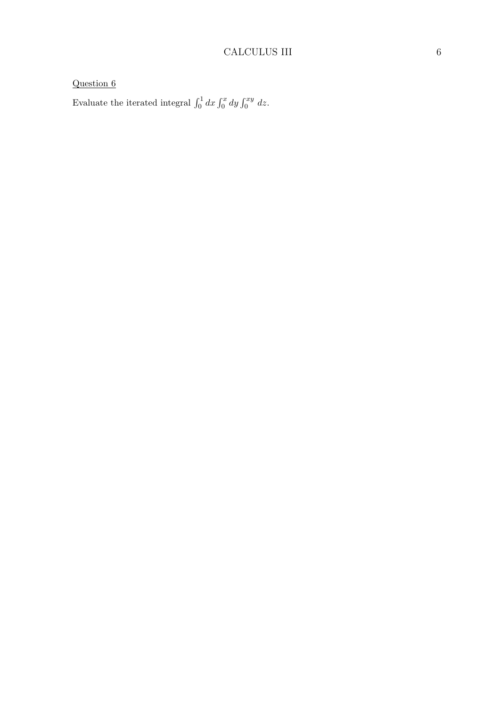Evaluate the iterated integral  $\int_0^1 dx \int_0^x dy \int_0^{xy} dz$ .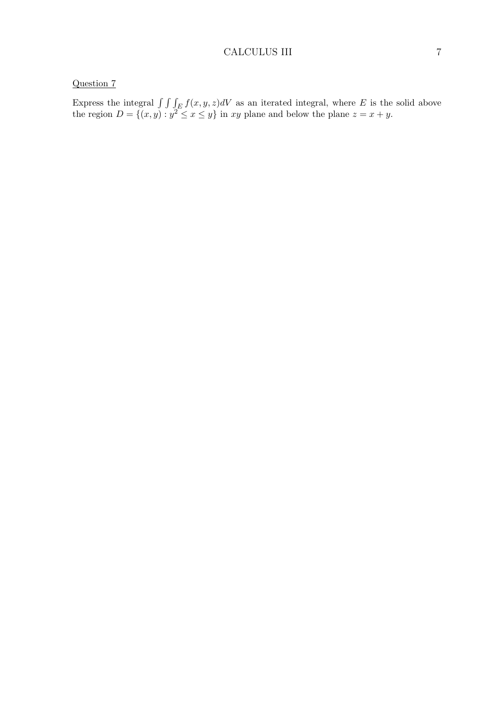Express the integral  $\int \int \int_E f(x, y, z)dV$  as an iterated integral, where E is the solid above the region  $D = \{(x, y) : y^2 \le x \le y\}$  in xy plane and below the plane  $z = x + y$ .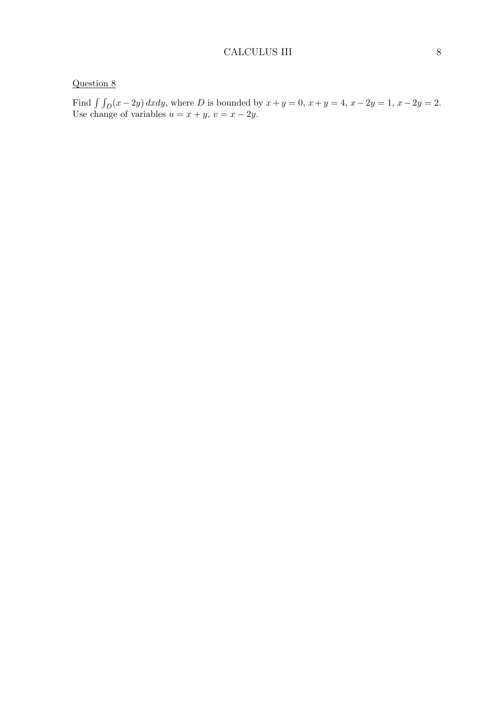Find  $\int \int_D (x - 2y) dx dy$ , where D is bounded by  $x + y = 0$ ,  $x + y = 4$ ,  $x - 2y = 1$ ,  $x - 2y = 2$ . Use change of variables  $u = x + y$ ,  $v = x - 2y$ .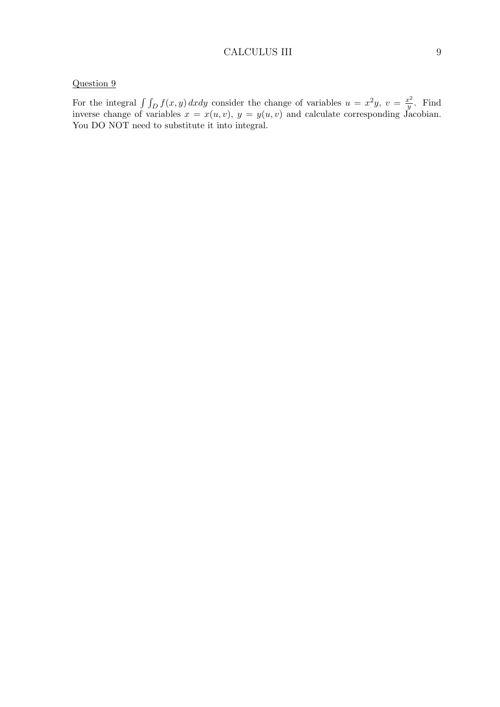#### CALCULUS III 9

## Question 9

For the integral  $\int \int_D f(x, y) dx dy$  consider the change of variables  $u = x^2y$ ,  $v = \frac{x^2}{y}$  $rac{x^2}{y}$ . Find inverse change of variables  $x = x(u, v)$ ,  $y = y(u, v)$  and calculate corresponding Jacobian. You DO NOT need to substitute it into integral.